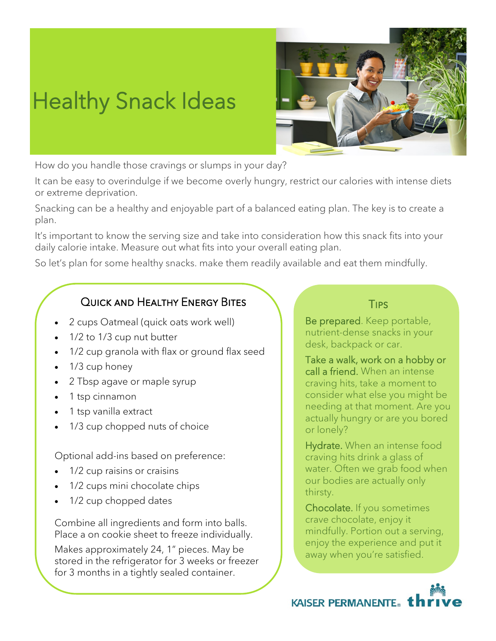## Healthy Snack Ideas



How do you handle those cravings or slumps in your day?

It can be easy to overindulge if we become overly hungry, restrict our calories with intense diets or extreme deprivation.

Snacking can be a healthy and enjoyable part of a balanced eating plan. The key is to create a plan.

It's important to know the serving size and take into consideration how this snack fits into your daily calorie intake. Measure out what fits into your overall eating plan.

So let's plan for some healthy snacks. make them readily available and eat them mindfully.

## Quick and Healthy Energy Bites

- 2 cups Oatmeal (quick oats work well)
- 1/2 to 1/3 cup nut butter
- 1/2 cup granola with flax or ground flax seed
- 1/3 cup honey
- 2 Tbsp agave or maple syrup
- 1 tsp cinnamon
- 1 tsp vanilla extract
- 1/3 cup chopped nuts of choice

Optional add-ins based on preference:

- 1/2 cup raisins or craisins
- 1/2 cups mini chocolate chips
- 1/2 cup chopped dates

Combine all ingredients and form into balls. Place a on cookie sheet to freeze individually.

Makes approximately 24, 1" pieces. May be stored in the refrigerator for 3 weeks or freezer for 3 months in a tightly sealed container.

## **TIPS**

Be prepared. Keep portable, nutrient-dense snacks in your desk, backpack or car.

Take a walk, work on a hobby or call a friend. When an intense craving hits, take a moment to consider what else you might be needing at that moment. Are you actually hungry or are you bored or lonely?

Hydrate. When an intense food craving hits drink a glass of water. Often we grab food when our bodies are actually only thirsty.

Chocolate. If you sometimes crave chocolate, enjoy it mindfully. Portion out a serving, enjoy the experience and put it away when you're satisfied.